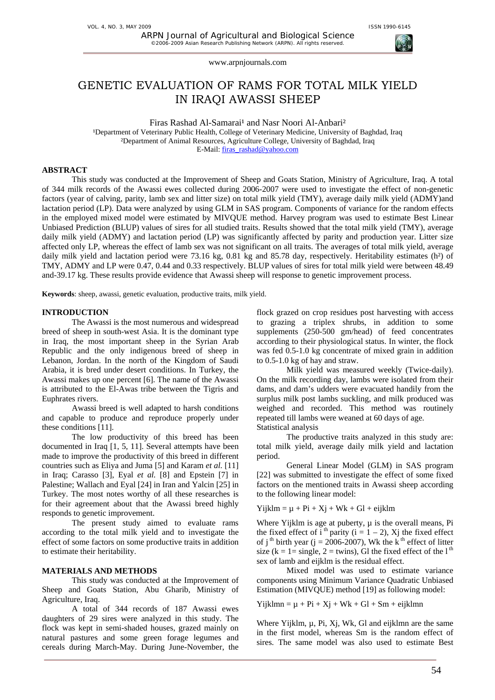# GENETIC EVALUATION OF RAMS FOR TOTAL MILK YIELD IN IRAQI AWASSI SHEEP

Firas Rashad Al-Samarai<sup>1</sup> and Nasr Noori Al-Anbari<sup>2</sup> <sup>1</sup>Department of Veterinary Public Health, College of Veterinary Medicine, University of Baghdad, Iraq ²Department of Animal Resources, Agriculture College, University of Baghdad, Iraq E-Mail: firas\_rashad@yahoo.com

# **ABSTRACT**

This study was conducted at the Improvement of Sheep and Goats Station, Ministry of Agriculture, Iraq. A total of 344 milk records of the Awassi ewes collected during 2006-2007 were used to investigate the effect of non-genetic factors (year of calving, parity, lamb sex and litter size) on total milk yield (TMY), average daily milk yield (ADMY)and lactation period (LP). Data were analyzed by using GLM in SAS program. Components of variance for the random effects in the employed mixed model were estimated by MIVQUE method. Harvey program was used to estimate Best Linear Unbiased Prediction (BLUP) values of sires for all studied traits. Results showed that the total milk yield (TMY), average daily milk yield (ADMY) and lactation period (LP) was significantly affected by parity and production year. Litter size affected only LP, whereas the effect of lamb sex was not significant on all traits. The averages of total milk yield, average daily milk yield and lactation period were 73.16 kg, 0.81 kg and 85.78 day, respectively. Heritability estimates (h<sup>2</sup>) of TMY, ADMY and LP were 0.47, 0.44 and 0.33 respectively. BLUP values of sires for total milk yield were between 48.49 and-39.17 kg. These results provide evidence that Awassi sheep will response to genetic improvement process.

**Keywords**: sheep, awassi, genetic evaluation, productive traits, milk yield.

## **INTRODUCTION**

The Awassi is the most numerous and widespread breed of sheep in south-west Asia. It is the dominant type in Iraq, the most important sheep in the Syrian Arab Republic and the only indigenous breed of sheep in Lebanon, Jordan. In the north of the Kingdom of Saudi Arabia, it is bred under desert conditions. In Turkey, the Awassi makes up one percent [6]. The name of the Awassi is attributed to the El-Awas tribe between the Tigris and Euphrates rivers.

Awassi breed is well adapted to harsh conditions and capable to produce and reproduce properly under these conditions [11].

The low productivity of this breed has been documented in Iraq [1, 5, 11]. Several attempts have been made to improve the productivity of this breed in different countries such as Eliya and Juma [5] and Karam *et al.* [11] in Iraq; Carasso [3], Eyal *et al.* [8] and Epstein [7] in Palestine; Wallach and Eyal [24] in Iran and Yalcin [25] in Turkey. The most notes worthy of all these researches is for their agreement about that the Awassi breed highly responds to genetic improvement.

The present study aimed to evaluate rams according to the total milk yield and to investigate the effect of some factors on some productive traits in addition to estimate their heritability.

#### **MATERIALS AND METHODS**

This study was conducted at the Improvement of Sheep and Goats Station, Abu Gharib, Ministry of Agriculture, Iraq.

A total of 344 records of 187 Awassi ewes daughters of 29 sires were analyzed in this study. The flock was kept in semi-shaded houses, grazed mainly on natural pastures and some green forage legumes and cereals during March-May. During June-November, the

flock grazed on crop residues post harvesting with access to grazing a triplex shrubs, in addition to some supplements (250-500 gm/head) of feed concentrates according to their physiological status. In winter, the flock was fed 0.5-1.0 kg concentrate of mixed grain in addition to 0.5-1.0 kg of hay and straw.

Milk yield was measured weekly (Twice-daily). On the milk recording day, lambs were isolated from their dams, and dam's udders were evacuated handily from the surplus milk post lambs suckling, and milk produced was weighed and recorded. This method was routinely repeated till lambs were weaned at 60 days of age. Statistical analysis

The productive traits analyzed in this study are: total milk yield, average daily milk yield and lactation period.

General Linear Model (GLM) in SAS program [22] was submitted to investigate the effect of some fixed factors on the mentioned traits in Awassi sheep according to the following linear model:

 $Yiiklm = u + Pi + Xi + Wk + Gl + eiiklm$ 

Where Yijklm is age at puberty,  $\mu$  is the overall means, Pi the fixed effect of i<sup>th</sup> parity (i =  $1 - 2$ ), Xj the fixed effect of j<sup>th</sup> birth year (j = 2006-2007), Wk the k<sup>th</sup> effect of litter size (k = 1= single, 2 = twins). Gl the fixed effect of the  $1<sup>th</sup>$ sex of lamb and eijklm is the residual effect.

Mixed model was used to estimate variance components using Minimum Variance Quadratic Unbiased Estimation (MIVQUE) method [19] as following model:

Yijklmn =  $\mu$  + Pi + Xj + Wk + Gl + Sm + eijklmn

Where Yijklm, µ, Pi, Xj, Wk, Gl and eijklmn are the same in the first model, whereas Sm is the random effect of sires. The same model was also used to estimate Best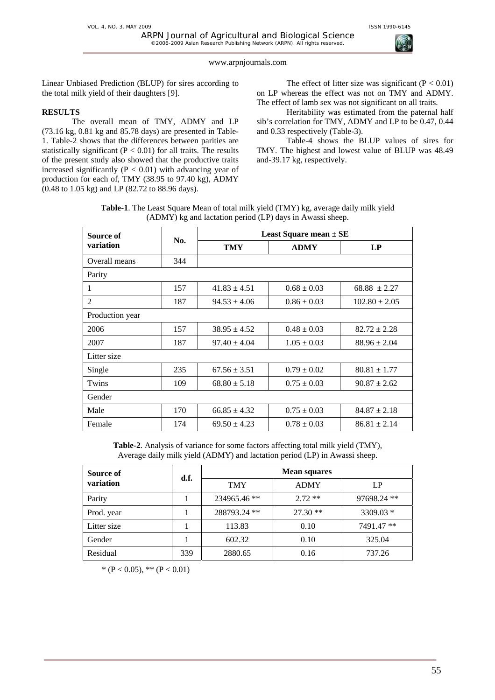

Linear Unbiased Prediction (BLUP) for sires according to the total milk yield of their daughters [9].

# **RESULTS**

The overall mean of TMY, ADMY and LP (73.16 kg, 0.81 kg and 85.78 days) are presented in Table-1. Table-2 shows that the differences between parities are statistically significant ( $P < 0.01$ ) for all traits. The results of the present study also showed that the productive traits increased significantly ( $P < 0.01$ ) with advancing year of production for each of, TMY (38.95 to 97.40 kg), ADMY (0.48 to 1.05 kg) and LP (82.72 to 88.96 days).

The effect of litter size was significant  $(P < 0.01)$ on LP whereas the effect was not on TMY and ADMY. The effect of lamb sex was not significant on all traits.

Heritability was estimated from the paternal half sib's correlation for TMY, ADMY and LP to be 0.47, 0.44 and 0.33 respectively (Table-3).

Table-4 shows the BLUP values of sires for TMY. The highest and lowest value of BLUP was 48.49 and-39.17 kg, respectively.

**Table-1**. The Least Square Mean of total milk yield (TMY) kg, average daily milk yield (ADMY) kg and lactation period (LP) days in Awassi sheep.

| Source of       | No. | <b>Least Square mean <math>\pm</math> SE</b> |                 |                   |  |
|-----------------|-----|----------------------------------------------|-----------------|-------------------|--|
| variation       |     | <b>TMY</b>                                   | <b>ADMY</b>     | LP                |  |
| Overall means   | 344 |                                              |                 |                   |  |
| Parity          |     |                                              |                 |                   |  |
| 1               | 157 | $41.83 \pm 4.51$                             | $0.68 \pm 0.03$ | $68.88 \pm 2.27$  |  |
| 2               | 187 | $94.53 \pm 4.06$                             | $0.86 \pm 0.03$ | $102.80 \pm 2.05$ |  |
| Production year |     |                                              |                 |                   |  |
| 2006            | 157 | $38.95 \pm 4.52$                             | $0.48 \pm 0.03$ | $82.72 \pm 2.28$  |  |
| 2007            | 187 | $97.40 \pm 4.04$                             | $1.05 \pm 0.03$ | $88.96 \pm 2.04$  |  |
| Litter size     |     |                                              |                 |                   |  |
| Single          | 235 | $67.56 \pm 3.51$                             | $0.79 \pm 0.02$ | $80.81 \pm 1.77$  |  |
| Twins           | 109 | $68.80 \pm 5.18$                             | $0.75 \pm 0.03$ | $90.87 \pm 2.62$  |  |
| Gender          |     |                                              |                 |                   |  |
| Male            | 170 | $66.85 \pm 4.32$                             | $0.75 \pm 0.03$ | $84.87 \pm 2.18$  |  |
| Female          | 174 | $69.50 \pm 4.23$                             | $0.78 \pm 0.03$ | $86.81 \pm 2.14$  |  |

**Table-2**. Analysis of variance for some factors affecting total milk yield (TMY), Average daily milk yield (ADMY) and lactation period (LP) in Awassi sheep.

| Source of<br>variation | d.f. | <b>Mean squares</b> |             |             |
|------------------------|------|---------------------|-------------|-------------|
|                        |      | <b>TMY</b>          | <b>ADMY</b> | LP          |
| Parity                 |      | 234965.46 **        | $2.72**$    | 97698.24 ** |
| Prod. year             |      | 288793.24 **        | $27.30**$   | $3309.03*$  |
| Litter size            |      | 113.83              | 0.10        | 7491.47 **  |
| Gender                 |      | 602.32              | 0.10        | 325.04      |
| Residual               | 339  | 2880.65             | 0.16        | 737.26      |

\* (P < 0.05), \*\* (P < 0.01)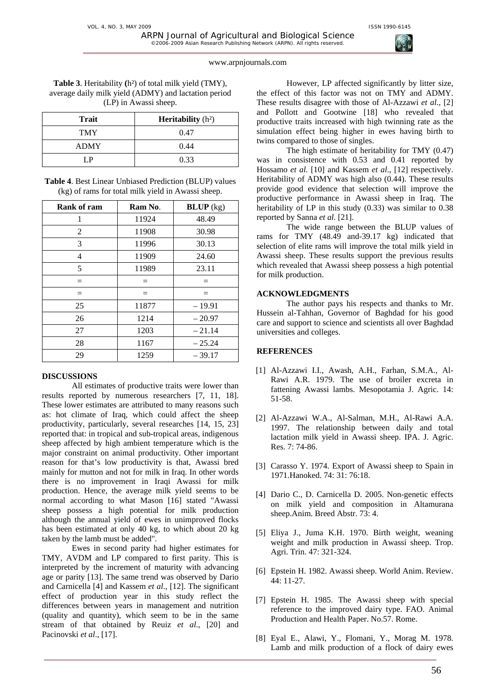©2006-2009 Asian Research Publishing Network (ARPN). All rights reserved.

**Table 3**. Heritability **(**h²) of total milk yield (TMY), average daily milk yield (ADMY) and lactation period (LP) in Awassi sheep.

| Trait       | <b>Heritability</b> $(h^2)$ |
|-------------|-----------------------------|
| <b>TMY</b>  | 0.47                        |
| <b>ADMY</b> | 0.44                        |
| IР          | 0.33                        |

**Table 4**. Best Linear Unbiased Prediction (BLUP) values (kg) of rams for total milk yield in Awassi sheep.

| <b>Rank of ram</b> | Ram No. | $BLUP$ (kg) |
|--------------------|---------|-------------|
| 1                  | 11924   | 48.49       |
| 2                  | 11908   | 30.98       |
| 3                  | 11996   | 30.13       |
| 4                  | 11909   | 24.60       |
| 5                  | 11989   | 23.11       |
| $=$                | $=$     | $=$         |
| $=$                | $=$     | $=$         |
| 25                 | 11877   | $-19.91$    |
| 26                 | 1214    | $-20.97$    |
| 27                 | 1203    | $-21.14$    |
| 28                 | 1167    | $-25.24$    |
| 29                 | 1259    | $-39.17$    |

### **DISCUSSIONS**

All estimates of productive traits were lower than results reported by numerous researchers [7, 11, 18]. These lower estimates are attributed to many reasons such as: hot climate of Iraq, which could affect the sheep productivity, particularly, several researches [14, 15, 23] reported that: in tropical and sub-tropical areas, indigenous sheep affected by high ambient temperature which is the major constraint on animal productivity. Other important reason for that's low productivity is that, Awassi bred mainly for mutton and not for milk in Iraq. In other words there is no improvement in Iraqi Awassi for milk production. Hence, the average milk yield seems to be normal according to what Mason [16] stated "Awassi sheep possess a high potential for milk production although the annual yield of ewes in unimproved flocks has been estimated at only 40 kg, to which about 20 kg taken by the lamb must be added".

Ewes in second parity had higher estimates for TMY, AVDM and LP compared to first parity. This is interpreted by the increment of maturity with advancing age or parity [13]. The same trend was observed by Dario and Carnicella [4] and Kassem *et al*., [12]. The significant effect of production year in this study reflect the differences between years in management and nutrition (quality and quantity), which seem to be in the same stream of that obtained by Reuiz *et al*., [20] and Pacinovski *et al*., [17].

However, LP affected significantly by litter size, the effect of this factor was not on TMY and ADMY. These results disagree with those of Al-Azzawi *et al*., [2] and Pollott and Gootwine [18] who revealed that productive traits increased with high twinning rate as the simulation effect being higher in ewes having birth to twins compared to those of singles.

The high estimate of heritability for TMY (0.47) was in consistence with 0.53 and 0.41 reported by Hossamo *et al.* [10] and Kassem *et al*., [12] respectively. Heritability of ADMY was high also (0.44). These results provide good evidence that selection will improve the productive performance in Awassi sheep in Iraq. The heritability of LP in this study  $(0.33)$  was similar to 0.38 reported by Sanna *et al.* [21].

The wide range between the BLUP values of rams for TMY (48.49 and-39.17 kg) indicated that selection of elite rams will improve the total milk yield in Awassi sheep. These results support the previous results which revealed that Awassi sheep possess a high potential for milk production.

# **ACKNOWLEDGMENTS**

The author pays his respects and thanks to Mr. Hussein al-Tahhan, Governor of Baghdad for his good care and support to science and scientists all over Baghdad universities and colleges.

# **REFERENCES**

- [1] Al-Azzawi I.I., Awash, A.H., Farhan, S.M.A., Al-Rawi A.R. 1979. The use of broiler excreta in fattening Awassi lambs. Mesopotamia J. Agric. 14: 51-58.
- [2] Al-Azzawi W.A., Al-Salman, M.H., Al-Rawi A.A. 1997. The relationship between daily and total lactation milk yield in Awassi sheep. IPA. J. Agric. Res. 7: 74-86.
- [3] Carasso Y. 1974. Export of Awassi sheep to Spain in 1971.Hanoked. 74: 31: 76:18.
- [4] Dario C., D. Carnicella D. 2005. Non-genetic effects on milk yield and composition in Altamurana sheep.Anim. Breed Abstr. 73: 4.
- [5] Eliya J., Juma K.H. 1970. Birth weight, weaning weight and milk production in Awassi sheep. Trop. Agri. Trin. 47: 321-324.
- [6] Epstein H. 1982. Awassi sheep. World Anim. Review. 44: 11-27.
- [7] Epstein H. 1985. The Awassi sheep with special reference to the improved dairy type. FAO. Animal Production and Health Paper. No.57. Rome.
- [8] Eyal E., Alawi, Y., Flomani, Y., Morag M. 1978. Lamb and milk production of a flock of dairy ewes